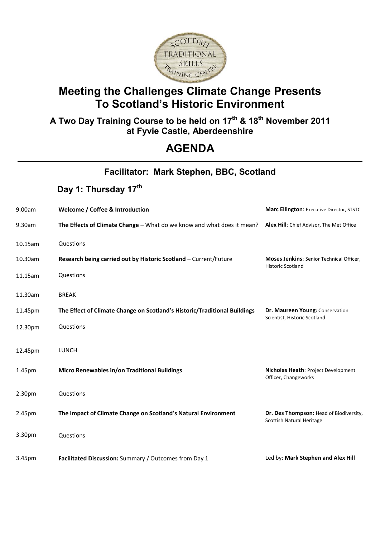

### **Meeting the Challenges Climate Change Presents To Scotland's Historic Environment**

#### **A Two Day Training Course to be held on 17 th & 18 th November 2011 at Fyvie Castle, Aberdeenshire**

## **AGENDA**

| Facilitator: Mark Stephen, BBC, Scotland |                                                                           |                                                                      |
|------------------------------------------|---------------------------------------------------------------------------|----------------------------------------------------------------------|
|                                          | Day 1: Thursday 17th                                                      |                                                                      |
| 9.00am                                   | Welcome / Coffee & Introduction                                           | Marc Ellington: Executive Director, STSTC                            |
| 9.30am                                   | The Effects of Climate Change - What do we know and what does it mean?    | Alex Hill: Chief Advisor, The Met Office                             |
| 10.15am                                  | Questions                                                                 |                                                                      |
| 10.30am                                  | Research being carried out by Historic Scotland - Current/Future          | Moses Jenkins: Senior Technical Officer,<br><b>Historic Scotland</b> |
| 11.15am                                  | Questions                                                                 |                                                                      |
| 11.30am                                  | <b>BREAK</b>                                                              |                                                                      |
| 11.45pm                                  | The Effect of Climate Change on Scotland's Historic/Traditional Buildings | Dr. Maureen Young: Conservation<br>Scientist, Historic Scotland      |
| 12.30pm                                  | Questions                                                                 |                                                                      |
| 12.45pm                                  | <b>LUNCH</b>                                                              |                                                                      |
| 1.45pm                                   | Micro Renewables in/on Traditional Buildings                              | Nicholas Heath: Project Development<br>Officer, Changeworks          |
| 2.30pm                                   | Questions                                                                 |                                                                      |
| 2.45pm                                   | The Impact of Climate Change on Scotland's Natural Environment            | Dr. Des Thompson: Head of Biodiversity,<br>Scottish Natural Heritage |
| 3.30pm                                   | Questions                                                                 |                                                                      |
| 3.45pm                                   | Facilitated Discussion: Summary / Outcomes from Day 1                     | Led by: Mark Stephen and Alex Hill                                   |